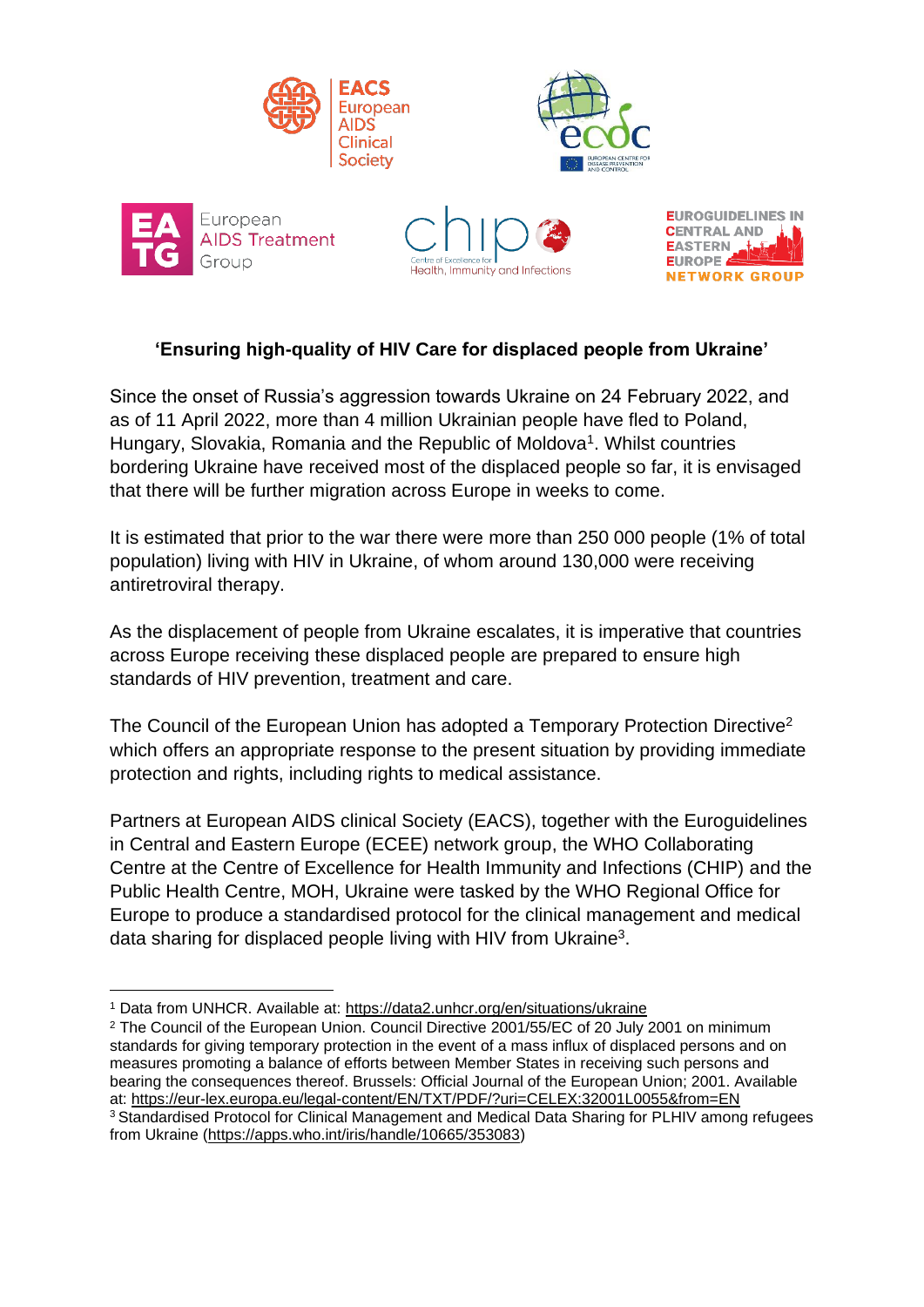









## **'Ensuring high-quality of HIV Care for displaced people from Ukraine'**

Since the onset of Russia's aggression towards Ukraine on 24 February 2022, and as of 11 April 2022, more than 4 million Ukrainian people have fled to Poland, Hungary, Slovakia, Romania and the Republic of Moldova<sup>1</sup>. Whilst countries bordering Ukraine have received most of the displaced people so far, it is envisaged that there will be further migration across Europe in weeks to come.

It is estimated that prior to the war there were more than 250 000 people (1% of total population) living with HIV in Ukraine, of whom around 130,000 were receiving antiretroviral therapy.

As the displacement of people from Ukraine escalates, it is imperative that countries across Europe receiving these displaced people are prepared to ensure high standards of HIV prevention, treatment and care.

The Council of the European Union has adopted a Temporary Protection Directive<sup>2</sup> which offers an appropriate response to the present situation by providing immediate protection and rights, including rights to medical assistance.

Partners at European AIDS clinical Society (EACS), together with the Euroguidelines in Central and Eastern Europe (ECEE) network group, the WHO Collaborating Centre at the Centre of Excellence for Health Immunity and Infections (CHIP) and the Public Health Centre, MOH, Ukraine were tasked by the WHO Regional Office for Europe to produce a standardised protocol for the clinical management and medical data sharing for displaced people living with HIV from Ukraine<sup>3</sup>.

<sup>1</sup> Data from UNHCR. Available at:<https://data2.unhcr.org/en/situations/ukraine>

<sup>&</sup>lt;sup>2</sup> The Council of the European Union. Council Directive 2001/55/EC of 20 July 2001 on minimum standards for giving temporary protection in the event of a mass influx of displaced persons and on measures promoting a balance of efforts between Member States in receiving such persons and bearing the consequences thereof. Brussels: Official Journal of the European Union; 2001. Available at:<https://eur-lex.europa.eu/legal-content/EN/TXT/PDF/?uri=CELEX:32001L0055&from=EN> <sup>3</sup>Standardised Protocol for Clinical Management and Medical Data Sharing for PLHIV among refugees from Ukraine [\(https://apps.who.int/iris/handle/10665/353083\)](https://apps.who.int/iris/handle/10665/353083)